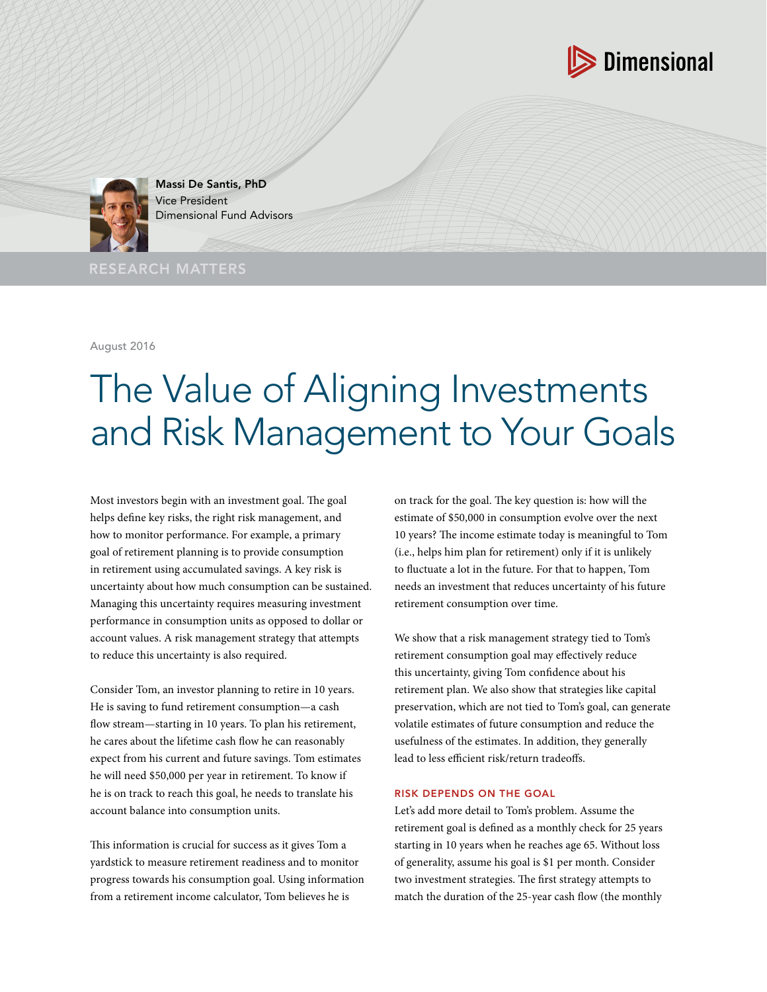



Massi De Santis, PhD Vice President Dimensional Fund Advisors

RESEARCH MATTERS

August 2016

# The Value of Aligning Investments and Risk Management to Your Goals

Most investors begin with an investment goal. The goal helps define key risks, the right risk management, and how to monitor performance. For example, a primary goal of retirement planning is to provide consumption in retirement using accumulated savings. A key risk is uncertainty about how much consumption can be sustained. Managing this uncertainty requires measuring investment performance in consumption units as opposed to dollar or account values. A risk management strategy that attempts to reduce this uncertainty is also required.

Consider Tom, an investor planning to retire in 10 years. He is saving to fund retirement consumption—a cash flow stream—starting in 10 years. To plan his retirement, he cares about the lifetime cash flow he can reasonably expect from his current and future savings. Tom estimates he will need \$50,000 per year in retirement. To know if he is on track to reach this goal, he needs to translate his account balance into consumption units.

This information is crucial for success as it gives Tom a yardstick to measure retirement readiness and to monitor progress towards his consumption goal. Using information from a retirement income calculator, Tom believes he is

on track for the goal. The key question is: how will the estimate of \$50,000 in consumption evolve over the next 10 years? The income estimate today is meaningful to Tom (i.e., helps him plan for retirement) only if it is unlikely to fluctuate a lot in the future. For that to happen, Tom needs an investment that reduces uncertainty of his future retirement consumption over time.

We show that a risk management strategy tied to Tom's retirement consumption goal may effectively reduce this uncertainty, giving Tom confidence about his retirement plan. We also show that strategies like capital preservation, which are not tied to Tom's goal, can generate volatile estimates of future consumption and reduce the usefulness of the estimates. In addition, they generally lead to less efficient risk/return tradeoffs.

## RISK DEPENDS ON THE GOAL

Let's add more detail to Tom's problem. Assume the retirement goal is defined as a monthly check for 25 years starting in 10 years when he reaches age 65. Without loss of generality, assume his goal is \$1 per month. Consider two investment strategies. The first strategy attempts to match the duration of the 25-year cash flow (the monthly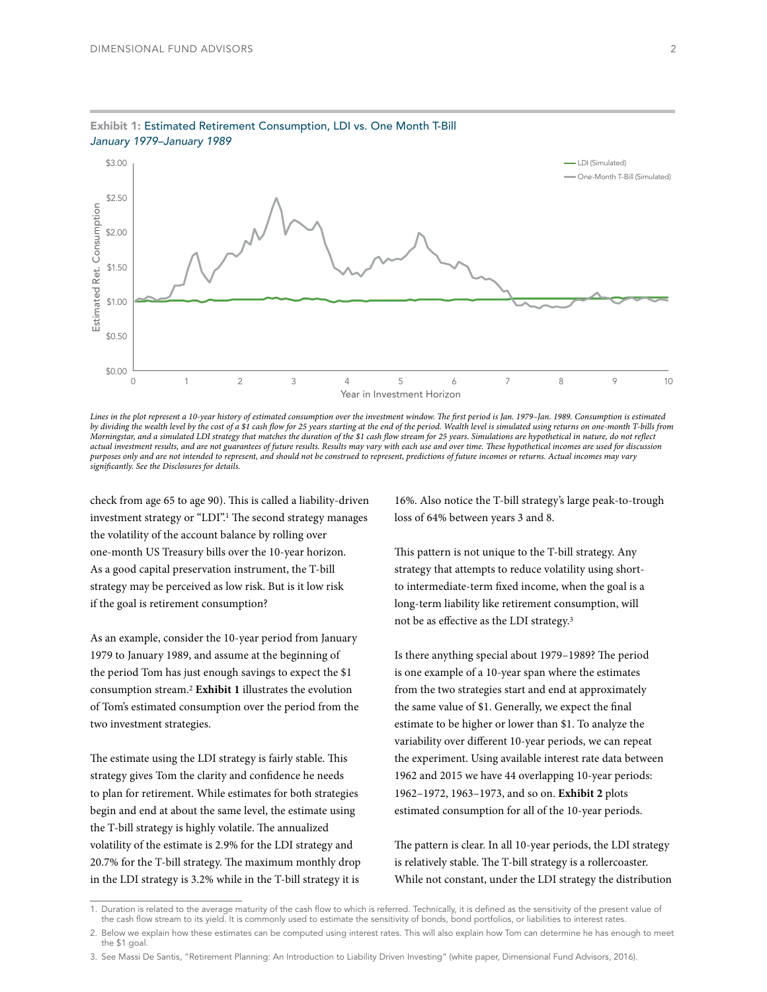

## Exhibit 1: Estimated Retirement Consumption, LDI vs. One Month T-Bill *January 1979–January 1989*

*Lines in the plot represent a 10-year history of estimated consumption over the investment window. The first period is Jan. 1979–Jan. 1989. Consumption is estimated by dividing the wealth level by the cost of a \$1 cash flow for 25 years starting at the end of the period. Wealth level is simulated using returns on one-month T-bills from Morningstar, and a simulated LDI strategy that matches the duration of the \$1 cash flow stream for 25 years. Simulations are hypothetical in nature, do not reflect actual investment results, and are not guarantees of future results. Results may vary with each use and over time. These hypothetical incomes are used for discussion purposes only and are not intended to represent, and should not be construed to represent, predictions of future incomes or returns. Actual incomes may vary significantly. See the Disclosures for details.*

check from age 65 to age 90). This is called a liability-driven investment strategy or "LDI".1 The second strategy manages the volatility of the account balance by rolling over one-month US Treasury bills over the 10-year horizon. As a good capital preservation instrument, the T-bill strategy may be perceived as low risk. But is it low risk if the goal is retirement consumption?

As an example, consider the 10-year period from January 1979 to January 1989, and assume at the beginning of the period Tom has just enough savings to expect the \$1 consumption stream.2 **Exhibit 1** illustrates the evolution of Tom's estimated consumption over the period from the two investment strategies.

The estimate using the LDI strategy is fairly stable. This strategy gives Tom the clarity and confidence he needs to plan for retirement. While estimates for both strategies begin and end at about the same level, the estimate using the T-bill strategy is highly volatile. The annualized volatility of the estimate is 2.9% for the LDI strategy and 20.7% for the T-bill strategy. The maximum monthly drop in the LDI strategy is 3.2% while in the T-bill strategy it is

16%. Also notice the T-bill strategy's large peak-to-trough loss of 64% between years 3 and 8.

This pattern is not unique to the T-bill strategy. Any strategy that attempts to reduce volatility using shortto intermediate-term fixed income, when the goal is a long-term liability like retirement consumption, will not be as effective as the LDI strategy.3

Is there anything special about 1979–1989? The period is one example of a 10-year span where the estimates from the two strategies start and end at approximately the same value of \$1. Generally, we expect the final estimate to be higher or lower than \$1. To analyze the variability over different 10-year periods, we can repeat the experiment. Using available interest rate data between 1962 and 2015 we have 44 overlapping 10-year periods: 1962–1972, 1963–1973, and so on. **Exhibit 2** plots estimated consumption for all of the 10-year periods.

The pattern is clear. In all 10-year periods, the LDI strategy is relatively stable. The T-bill strategy is a rollercoaster. While not constant, under the LDI strategy the distribution

<sup>1.</sup> Duration is related to the average maturity of the cash flow to which is referred. Technically, it is defined as the sensitivity of the present value of the cash flow stream to its yield. It is commonly used to estimate the sensitivity of bonds, bond portfolios, or liabilities to interest rates.

<sup>2.</sup> Below we explain how these estimates can be computed using interest rates. This will also explain how Tom can determine he has enough to meet the \$1 goal.

<sup>3.</sup> See Massi De Santis, "Retirement Planning: An Introduction to Liability Driven Investing" (white paper, Dimensional Fund Advisors, 2016).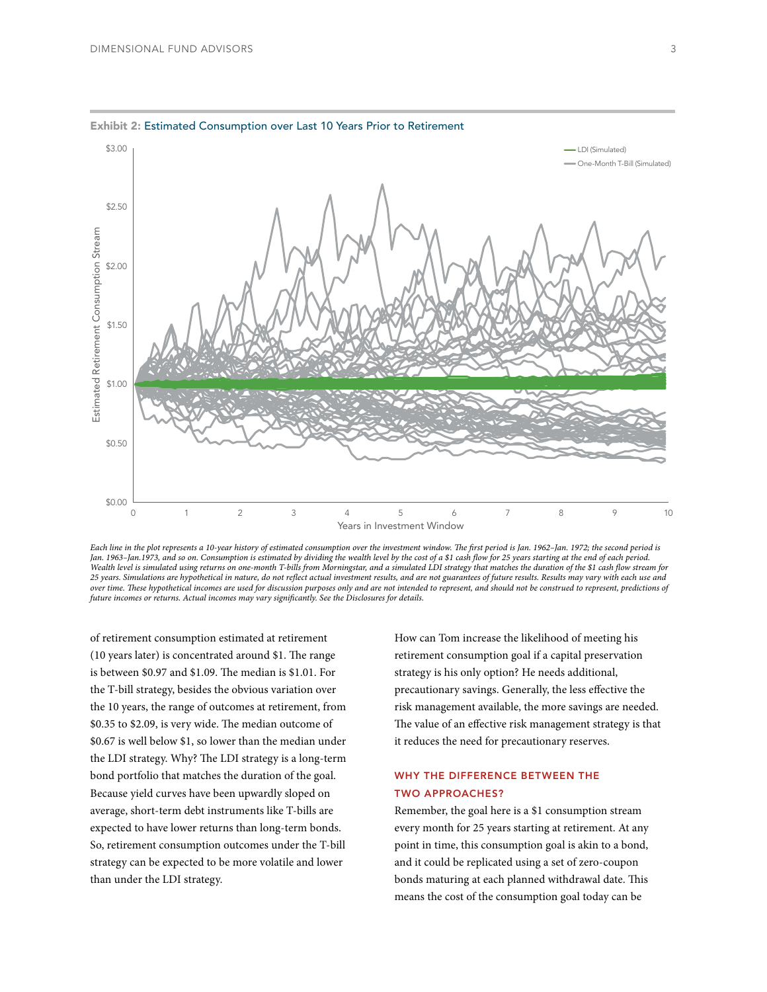

#### Exhibit 2: Estimated Consumption over Last 10 Years Prior to Retirement

Each line in the plot represents a 10-year history of estimated consumption over the investment window. The first period is Jan. 1962-Jan. 1972; the second period is *Jan. 1963–Jan.1973, and so on. Consumption is estimated by dividing the wealth level by the cost of a \$1 cash flow for 25 years starting at the end of each period.*  Wealth level is simulated using returns on one-month T-bills from Morningstar, and a simulated LDI strategy that matches the duration of the \$1 cash flow stream for *25 years. Simulations are hypothetical in nature, do not reflect actual investment results, and are not guarantees of future results. Results may vary with each use and over time. These hypothetical incomes are used for discussion purposes only and are not intended to represent, and should not be construed to represent, predictions of future incomes or returns. Actual incomes may vary significantly. See the Disclosures for details.*

of retirement consumption estimated at retirement (10 years later) is concentrated around \$1. The range is between \$0.97 and \$1.09. The median is \$1.01. For the T-bill strategy, besides the obvious variation over the 10 years, the range of outcomes at retirement, from \$0.35 to \$2.09, is very wide. The median outcome of \$0.67 is well below \$1, so lower than the median under the LDI strategy. Why? The LDI strategy is a long-term bond portfolio that matches the duration of the goal. Because yield curves have been upwardly sloped on average, short-term debt instruments like T-bills are expected to have lower returns than long-term bonds. So, retirement consumption outcomes under the T-bill strategy can be expected to be more volatile and lower than under the LDI strategy.

How can Tom increase the likelihood of meeting his retirement consumption goal if a capital preservation strategy is his only option? He needs additional, precautionary savings. Generally, the less effective the risk management available, the more savings are needed. The value of an effective risk management strategy is that it reduces the need for precautionary reserves.

## WHY THE DIFFERENCE BETWEEN THE TWO APPROACHES?

Remember, the goal here is a \$1 consumption stream every month for 25 years starting at retirement. At any point in time, this consumption goal is akin to a bond, and it could be replicated using a set of zero-coupon bonds maturing at each planned withdrawal date. This means the cost of the consumption goal today can be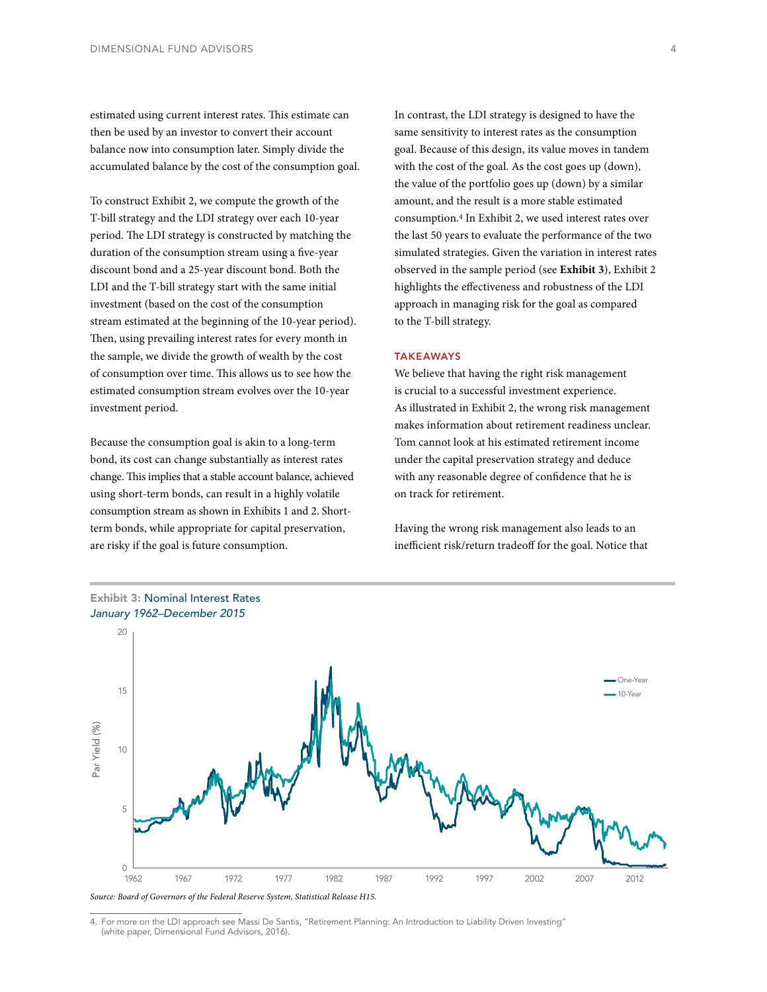estimated using current interest rates. This estimate can then be used by an investor to convert their account balance now into consumption later. Simply divide the accumulated balance by the cost of the consumption goal.

To construct Exhibit 2, we compute the growth of the T-bill strategy and the LDI strategy over each 10-year period. The LDI strategy is constructed by matching the duration of the consumption stream using a five-year discount bond and a 25-year discount bond. Both the LDI and the T-bill strategy start with the same initial investment (based on the cost of the consumption stream estimated at the beginning of the 10-year period). Then, using prevailing interest rates for every month in the sample, we divide the growth of wealth by the cost of consumption over time. This allows us to see how the estimated consumption stream evolves over the 10-year investment period.

Because the consumption goal is akin to a long-term bond, its cost can change substantially as interest rates change. This implies that a stable account balance, achieved using short-term bonds, can result in a highly volatile consumption stream as shown in Exhibits 1 and 2. Shortterm bonds, while appropriate for capital preservation, are risky if the goal is future consumption.

In contrast, the LDI strategy is designed to have the same sensitivity to interest rates as the consumption goal. Because of this design, its value moves in tandem with the cost of the goal. As the cost goes up (down), the value of the portfolio goes up (down) by a similar amount, and the result is a more stable estimated consumption.4 In Exhibit 2, we used interest rates over the last 50 years to evaluate the performance of the two simulated strategies. Given the variation in interest rates observed in the sample period (see **Exhibit 3**), Exhibit 2 highlights the effectiveness and robustness of the LDI approach in managing risk for the goal as compared to the T-bill strategy.

### TAKEAWAYS

We believe that having the right risk management is crucial to a successful investment experience. As illustrated in Exhibit 2, the wrong risk management makes information about retirement readiness unclear. Tom cannot look at his estimated retirement income under the capital preservation strategy and deduce with any reasonable degree of confidence that he is on track for retirement.

Having the wrong risk management also leads to an inefficient risk/return tradeoff for the goal. Notice that



*Source: Board of Governors of the Federal Reserve System, Statistical Release H15.*

4. For more on the LDI approach see Massi De Santis, "Retirement Planning: An Introduction to Liability Driven Investing" (white paper, Dimensional Fund Advisors, 2016).